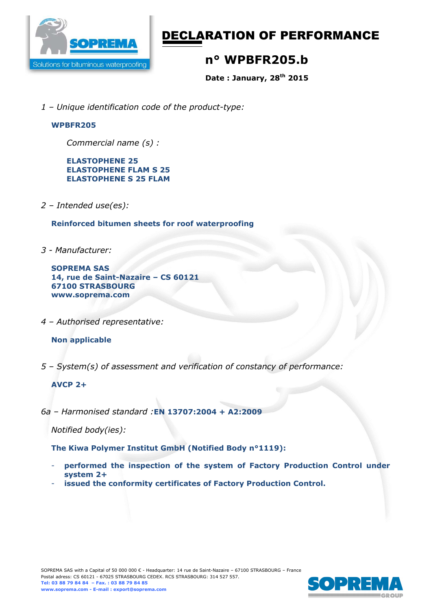

# DECLARATION OF PERFORMANCE

# **n° WPBFR205.b**

**Date : January, 28th 2015** 

*1 – Unique identification code of the product-type:*

### **WPBFR205**

*Commercial name (s) :* 

**ELASTOPHENE 25 ELASTOPHENE FLAM S 25 ELASTOPHENE S 25 FLAM** 

*2 – Intended use(es):* 

**Reinforced bitumen sheets for roof waterproofing** 

*3 - Manufacturer:* 

**SOPREMA SAS 14, rue de Saint-Nazaire – CS 60121 67100 STRASBOURG www.soprema.com** 

*4 – Authorised representative:* 

### **Non applicable**

*5 – System(s) of assessment and verification of constancy of performance:* 

#### **AVCP 2+**

*6a – Harmonised standard :***EN 13707:2004 + A2:2009**

*Notified body(ies):* 

**The Kiwa Polymer Institut GmbH (Notified Body n°1119):** 

- **performed the inspection of the system of Factory Production Control under system 2+**
- issued the conformity certificates of Factory Production Control.